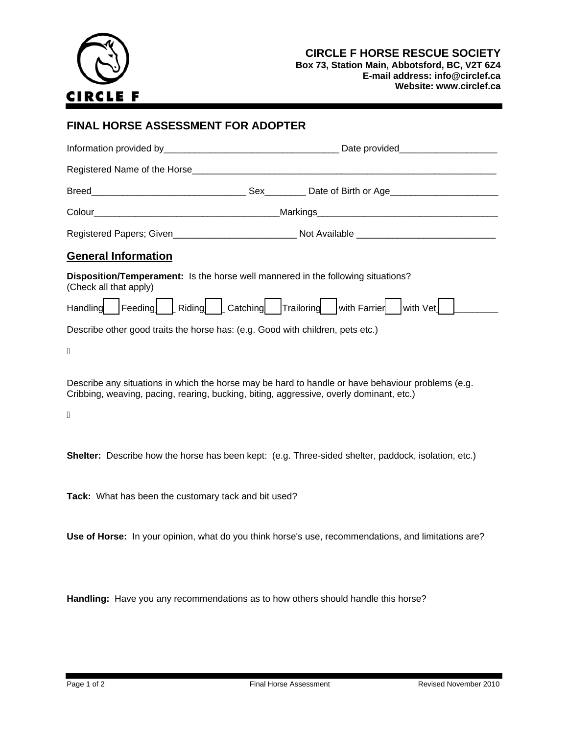

**Box 73, Station Main, Abbotsford, BC, V2T 6Z4 E-mail address: info@circlef.ca Website: www.circlef.ca**

## **FINAL HORSE ASSESSMENT FOR ADOPTER**

|                                                                                                            | Markings Manual Markings Manual Manual Manual Manual Manual Manual Manual Manual Manual Manual Manual Manual M |
|------------------------------------------------------------------------------------------------------------|----------------------------------------------------------------------------------------------------------------|
|                                                                                                            | Registered Papers; Given_______________________________Not Available _______________________________           |
| <b>General Information</b>                                                                                 |                                                                                                                |
| Disposition/Temperament: Is the horse well mannered in the following situations?<br>(Check all that apply) |                                                                                                                |
|                                                                                                            | Handling Feeding   Riding   Catching   Trailoring with Farrier with Vet                                        |
| Describe other good traits the horse has: (e.g. Good with children, pets etc.)                             |                                                                                                                |

Á

Describe any situations in which the horse may be hard to handle or have behaviour problems (e.g. Cribbing, weaving, pacing, rearing, bucking, biting, aggressive, overly dominant, etc.)

Á

**Shelter:** Describe how the horse has been kept: (e.g. Three-sided shelter, paddock, isolation, etc.)

**Tack:** What has been the customary tack and bit used?

**Use of Horse:** In your opinion, what do you think horse's use, recommendations, and limitations are?

**Handling:** Have you any recommendations as to how others should handle this horse?